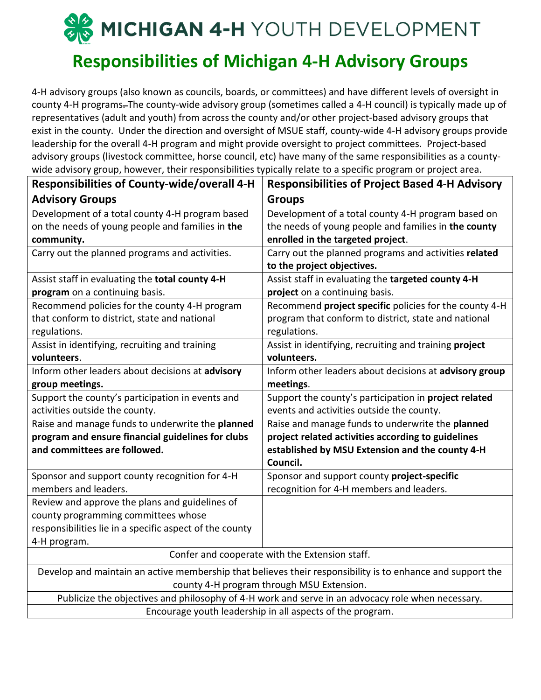# **SOMICHIGAN 4-H** YOUTH DEVELOPMENT

### **Responsibilities of Michigan 4-H Advisory Groups**

4-H advisory groups (also known as councils, boards, or committees) and have different levels of oversight in county 4-H programs. The county-wide advisory group (sometimes called a 4-H council) is typically made up of representatives (adult and youth) from across the county and/or other project-based advisory groups that exist in the county. Under the direction and oversight of MSUE staff, county-wide 4-H advisory groups provide leadership for the overall 4-H program and might provide oversight to project committees. Project-based advisory groups (livestock committee, horse council, etc) have many of the same responsibilities as a countywide advisory group, however, their responsibilities typically relate to a specific program or project area.

| <b>Responsibilities of County-wide/overall 4-H</b>                                                         | <b>Responsibilities of Project Based 4-H Advisory</b>  |
|------------------------------------------------------------------------------------------------------------|--------------------------------------------------------|
| <b>Advisory Groups</b>                                                                                     | <b>Groups</b>                                          |
| Development of a total county 4-H program based                                                            | Development of a total county 4-H program based on     |
| on the needs of young people and families in the                                                           | the needs of young people and families in the county   |
| community.                                                                                                 | enrolled in the targeted project.                      |
| Carry out the planned programs and activities.                                                             | Carry out the planned programs and activities related  |
|                                                                                                            | to the project objectives.                             |
| Assist staff in evaluating the total county 4-H                                                            | Assist staff in evaluating the targeted county 4-H     |
| program on a continuing basis.                                                                             | project on a continuing basis.                         |
| Recommend policies for the county 4-H program                                                              | Recommend project specific policies for the county 4-H |
| that conform to district, state and national                                                               | program that conform to district, state and national   |
| regulations.                                                                                               | regulations.                                           |
| Assist in identifying, recruiting and training                                                             | Assist in identifying, recruiting and training project |
| volunteers.                                                                                                | volunteers.                                            |
| Inform other leaders about decisions at advisory                                                           | Inform other leaders about decisions at advisory group |
| group meetings.                                                                                            | meetings.                                              |
| Support the county's participation in events and                                                           | Support the county's participation in project related  |
| activities outside the county.                                                                             | events and activities outside the county.              |
| Raise and manage funds to underwrite the planned                                                           | Raise and manage funds to underwrite the planned       |
| program and ensure financial guidelines for clubs                                                          | project related activities according to guidelines     |
| and committees are followed.                                                                               | established by MSU Extension and the county 4-H        |
|                                                                                                            | Council.                                               |
| Sponsor and support county recognition for 4-H                                                             | Sponsor and support county project-specific            |
| members and leaders.                                                                                       | recognition for 4-H members and leaders.               |
| Review and approve the plans and guidelines of                                                             |                                                        |
| county programming committees whose                                                                        |                                                        |
| responsibilities lie in a specific aspect of the county                                                    |                                                        |
| 4-H program.                                                                                               |                                                        |
| Confer and cooperate with the Extension staff.                                                             |                                                        |
| Develop and maintain an active membership that believes their responsibility is to enhance and support the |                                                        |
| county 4-H program through MSU Extension.                                                                  |                                                        |
| Publicize the objectives and philosophy of 4-H work and serve in an advocacy role when necessary.          |                                                        |
| Encourage youth leadership in all aspects of the program.                                                  |                                                        |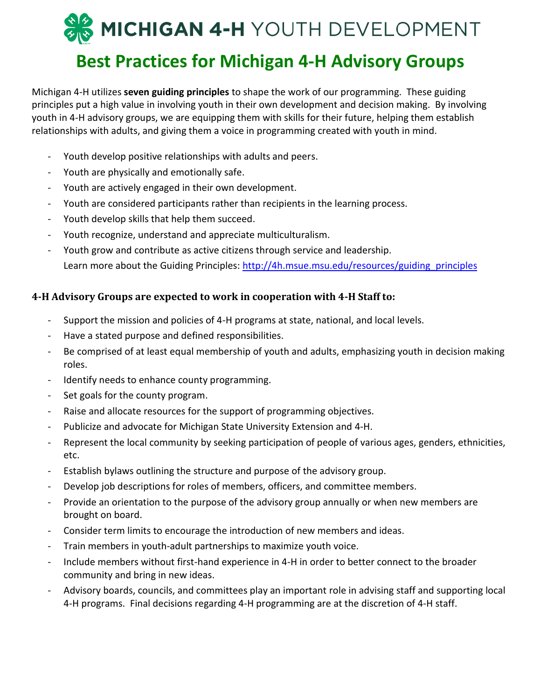## MICHIGAN 4-H YOUTH DEVELOPMENT **Best Practices for Michigan 4-H Advisory Groups**

Michigan 4-H utilizes **seven guiding principles** to shape the work of our programming. These guiding principles put a high value in involving youth in their own development and decision making. By involving youth in 4-H advisory groups, we are equipping them with skills for their future, helping them establish relationships with adults, and giving them a voice in programming created with youth in mind.

- Youth develop positive relationships with adults and peers.
- Youth are physically and emotionally safe.
- Youth are actively engaged in their own development.
- Youth are considered participants rather than recipients in the learning process.
- Youth develop skills that help them succeed.
- Youth recognize, understand and appreciate multiculturalism.
- Youth grow and contribute as active citizens through service and leadership. Learn more about the Guiding Principles: http://4h.msue.msu.edu/resources/guiding principles

#### **4-H Advisory Groups are expected to work in cooperation with 4-H Staff to:**

- Support the mission and policies of 4-H programs at state, national, and local levels.
- Have a stated purpose and defined responsibilities.
- Be comprised of at least equal membership of youth and adults, emphasizing youth in decision making roles.
- Identify needs to enhance county programming.
- Set goals for the county program.
- Raise and allocate resources for the support of programming objectives.
- Publicize and advocate for Michigan State University Extension and 4-H.
- Represent the local community by seeking participation of people of various ages, genders, ethnicities, etc.
- Establish bylaws outlining the structure and purpose of the advisory group.
- Develop job descriptions for roles of members, officers, and committee members.
- Provide an orientation to the purpose of the advisory group annually or when new members are brought on board.
- Consider term limits to encourage the introduction of new members and ideas.
- Train members in youth-adult partnerships to maximize youth voice.
- Include members without first-hand experience in 4-H in order to better connect to the broader community and bring in new ideas.
- Advisory boards, councils, and committees play an important role in advising staff and supporting local 4-H programs. Final decisions regarding 4-H programming are at the discretion of 4-H staff.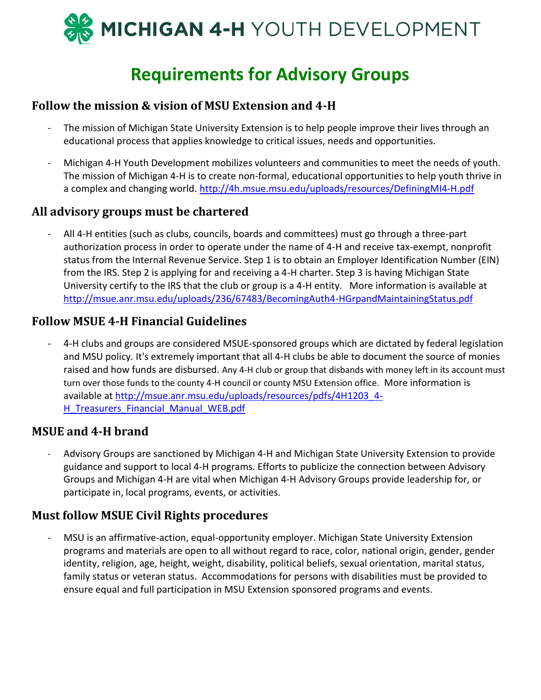

## **Requirements for Advisory Groups**

#### **Follow the mission & vision of MSU Extension and 4-H**

- The mission of Michigan State University Extension is to help people improve their lives through an educational process that applies knowledge to critical issues, needs and opportunities.
- Michigan 4-H Youth Development mobilizes volunteers and communities to meet the needs of youth. The mission of Michigan 4-H is to create non-formal, educational opportunities to help youth thrive in a complex and changing world. http://4h.msue.msu.edu/uploads/resources/DefiningMI4-H.pdf

#### **All advisory groups must be chartered**

- All 4-H entities (such as clubs, councils, boards and committees) must go through a three-part authorization process in order to operate under the name of 4-H and receive tax-exempt, nonprofit status from the Internal Revenue Service. Step 1 is to obtain an Employer Identification Number (EIN) from the IRS. Step 2 is applying for and receiving a 4-H charter. Step 3 is having Michigan State University certify to the IRS that the club or group is a 4-H entity. More information is available at http://msue.anr.msu.edu/uploads/236/67483/BecomingAuth4-HGrpandMaintainingStatus.pdf

#### **Follow MSUE 4-H Financial Guidelines**

- 4-H clubs and groups are considered MSUE-sponsored groups which are dictated by federal legislation and MSU policy. It's extremely important that all 4-H clubs be able to document the source of monies raised and how funds are disbursed. Any 4-H club or group that disbands with money left in its account must turn over those funds to the county 4-H council or county MSU Extension office. More information is available at http://msue.anr.msu.edu/uploads/resources/pdfs/4H1203\_4- H Treasurers Financial Manual WEB.pdf

#### **MSUE and 4-H brand**

- Advisory Groups are sanctioned by Michigan 4-H and Michigan State University Extension to provide guidance and support to local 4-H programs. Efforts to publicize the connection between Advisory Groups and Michigan 4-H are vital when Michigan 4-H Advisory Groups provide leadership for, or participate in, local programs, events, or activities.

#### **Must follow MSUE Civil Rights procedures**

- MSU is an affirmative-action, equal-opportunity employer. Michigan State University Extension programs and materials are open to all without regard to race, color, national origin, gender, gender identity, religion, age, height, weight, disability, political beliefs, sexual orientation, marital status, family status or veteran status. Accommodations for persons with disabilities must be provided to ensure equal and full participation in MSU Extension sponsored programs and events.